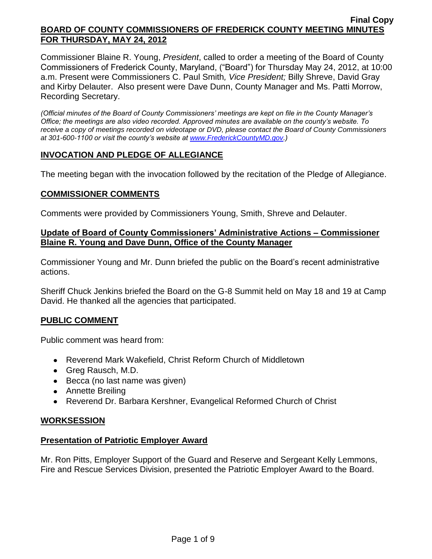Commissioner Blaine R. Young, *President*, called to order a meeting of the Board of County Commissioners of Frederick County, Maryland, ("Board") for Thursday May 24, 2012, at 10:00 a.m. Present were Commissioners C. Paul Smith*, Vice President;* Billy Shreve, David Gray and Kirby Delauter. Also present were Dave Dunn, County Manager and Ms. Patti Morrow, Recording Secretary.

*(Official minutes of the Board of County Commissioners' meetings are kept on file in the County Manager's Office; the meetings are also video recorded. Approved minutes are available on the county's website. To receive a copy of meetings recorded on videotape or DVD, please contact the Board of County Commissioners at 301-600-1100 or visit the county's website at [www.FrederickCountyMD.gov.](http://www.frederickcountymd.gov/))*

# **INVOCATION AND PLEDGE OF ALLEGIANCE**

The meeting began with the invocation followed by the recitation of the Pledge of Allegiance.

### **COMMISSIONER COMMENTS**

Comments were provided by Commissioners Young, Smith, Shreve and Delauter.

## **Update of Board of County Commissioners' Administrative Actions – Commissioner Blaine R. Young and Dave Dunn, Office of the County Manager**

Commissioner Young and Mr. Dunn briefed the public on the Board's recent administrative actions.

Sheriff Chuck Jenkins briefed the Board on the G-8 Summit held on May 18 and 19 at Camp David. He thanked all the agencies that participated.

## **PUBLIC COMMENT**

Public comment was heard from:

- Reverend Mark Wakefield, Christ Reform Church of Middletown
- Greg Rausch, M.D.
- Becca (no last name was given)
- Annette Breiling
- Reverend Dr. Barbara Kershner, Evangelical Reformed Church of Christ

## **WORKSESSION**

## **Presentation of Patriotic Employer Award**

Mr. Ron Pitts, Employer Support of the Guard and Reserve and Sergeant Kelly Lemmons, Fire and Rescue Services Division, presented the Patriotic Employer Award to the Board.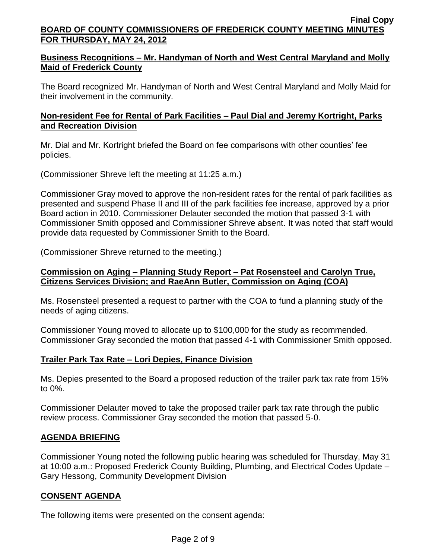# **Business Recognitions – Mr. Handyman of North and West Central Maryland and Molly Maid of Frederick County**

The Board recognized Mr. Handyman of North and West Central Maryland and Molly Maid for their involvement in the community.

# **Non-resident Fee for Rental of Park Facilities – Paul Dial and Jeremy Kortright, Parks and Recreation Division**

Mr. Dial and Mr. Kortright briefed the Board on fee comparisons with other counties' fee policies.

(Commissioner Shreve left the meeting at 11:25 a.m.)

Commissioner Gray moved to approve the non-resident rates for the rental of park facilities as presented and suspend Phase II and III of the park facilities fee increase, approved by a prior Board action in 2010. Commissioner Delauter seconded the motion that passed 3-1 with Commissioner Smith opposed and Commissioner Shreve absent. It was noted that staff would provide data requested by Commissioner Smith to the Board.

(Commissioner Shreve returned to the meeting.)

## **Commission on Aging – Planning Study Report – Pat Rosensteel and Carolyn True, Citizens Services Division; and RaeAnn Butler, Commission on Aging (COA)**

Ms. Rosensteel presented a request to partner with the COA to fund a planning study of the needs of aging citizens.

Commissioner Young moved to allocate up to \$100,000 for the study as recommended. Commissioner Gray seconded the motion that passed 4-1 with Commissioner Smith opposed.

# **Trailer Park Tax Rate – Lori Depies, Finance Division**

Ms. Depies presented to the Board a proposed reduction of the trailer park tax rate from 15% to 0%.

Commissioner Delauter moved to take the proposed trailer park tax rate through the public review process. Commissioner Gray seconded the motion that passed 5-0.

# **AGENDA BRIEFING**

Commissioner Young noted the following public hearing was scheduled for Thursday, May 31 at 10:00 a.m.: Proposed Frederick County Building, Plumbing, and Electrical Codes Update – Gary Hessong, Community Development Division

# **CONSENT AGENDA**

The following items were presented on the consent agenda: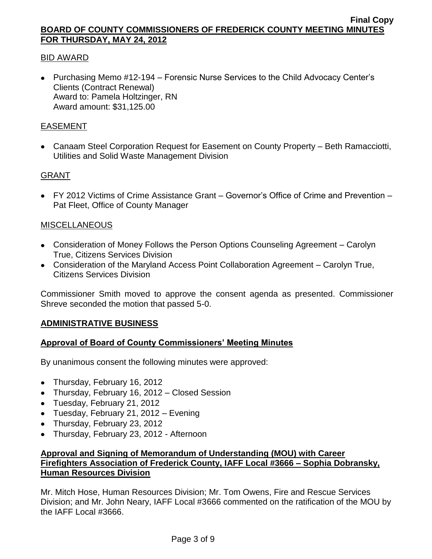## BID AWARD

• Purchasing Memo #12-194 – Forensic Nurse Services to the Child Advocacy Center's Clients (Contract Renewal) Award to: Pamela Holtzinger, RN Award amount: \$31,125.00

## EASEMENT

Canaam Steel Corporation Request for Easement on County Property – Beth Ramacciotti, Utilities and Solid Waste Management Division

## GRANT

FY 2012 Victims of Crime Assistance Grant – Governor's Office of Crime and Prevention – Pat Fleet, Office of County Manager

## **MISCELLANEOUS**

- Consideration of Money Follows the Person Options Counseling Agreement Carolyn True, Citizens Services Division
- Consideration of the Maryland Access Point Collaboration Agreement Carolyn True, Citizens Services Division

Commissioner Smith moved to approve the consent agenda as presented. Commissioner Shreve seconded the motion that passed 5-0.

## **ADMINISTRATIVE BUSINESS**

## **Approval of Board of County Commissioners' Meeting Minutes**

By unanimous consent the following minutes were approved:

- Thursday, February 16, 2012
- Thursday, February 16, 2012 Closed Session
- Tuesday, February 21, 2012
- $\bullet$  Tuesday, February 21, 2012 Evening
- Thursday, February 23, 2012
- Thursday, February 23, 2012 Afternoon

# **Approval and Signing of Memorandum of Understanding (MOU) with Career Firefighters Association of Frederick County, IAFF Local #3666 – Sophia Dobransky, Human Resources Division**

Mr. Mitch Hose, Human Resources Division; Mr. Tom Owens, Fire and Rescue Services Division; and Mr. John Neary, IAFF Local #3666 commented on the ratification of the MOU by the IAFF Local #3666.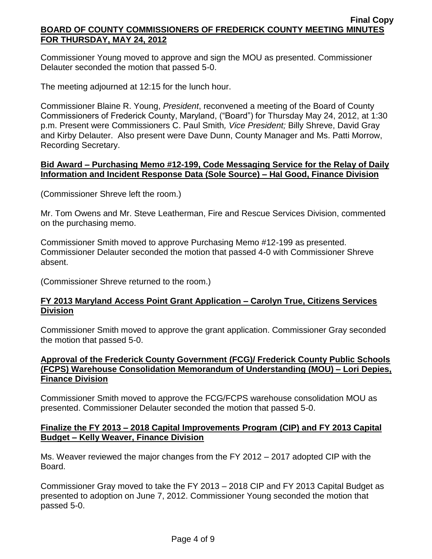Commissioner Young moved to approve and sign the MOU as presented. Commissioner Delauter seconded the motion that passed 5-0.

The meeting adjourned at 12:15 for the lunch hour.

Commissioner Blaine R. Young, *President*, reconvened a meeting of the Board of County Commissioners of Frederick County, Maryland, ("Board") for Thursday May 24, 2012, at 1:30 p.m. Present were Commissioners C. Paul Smith*, Vice President;* Billy Shreve, David Gray and Kirby Delauter. Also present were Dave Dunn, County Manager and Ms. Patti Morrow, Recording Secretary.

## **Bid Award – Purchasing Memo #12-199, Code Messaging Service for the Relay of Daily Information and Incident Response Data (Sole Source) – Hal Good, Finance Division**

(Commissioner Shreve left the room.)

Mr. Tom Owens and Mr. Steve Leatherman, Fire and Rescue Services Division, commented on the purchasing memo.

Commissioner Smith moved to approve Purchasing Memo #12-199 as presented. Commissioner Delauter seconded the motion that passed 4-0 with Commissioner Shreve absent.

(Commissioner Shreve returned to the room.)

## **FY 2013 Maryland Access Point Grant Application – Carolyn True, Citizens Services Division**

Commissioner Smith moved to approve the grant application. Commissioner Gray seconded the motion that passed 5-0.

## **Approval of the Frederick County Government (FCG)/ Frederick County Public Schools (FCPS) Warehouse Consolidation Memorandum of Understanding (MOU) – Lori Depies, Finance Division**

Commissioner Smith moved to approve the FCG/FCPS warehouse consolidation MOU as presented. Commissioner Delauter seconded the motion that passed 5-0.

# **Finalize the FY 2013 – 2018 Capital Improvements Program (CIP) and FY 2013 Capital Budget – Kelly Weaver, Finance Division**

Ms. Weaver reviewed the major changes from the FY 2012 – 2017 adopted CIP with the Board.

Commissioner Gray moved to take the FY 2013 – 2018 CIP and FY 2013 Capital Budget as presented to adoption on June 7, 2012. Commissioner Young seconded the motion that passed 5-0.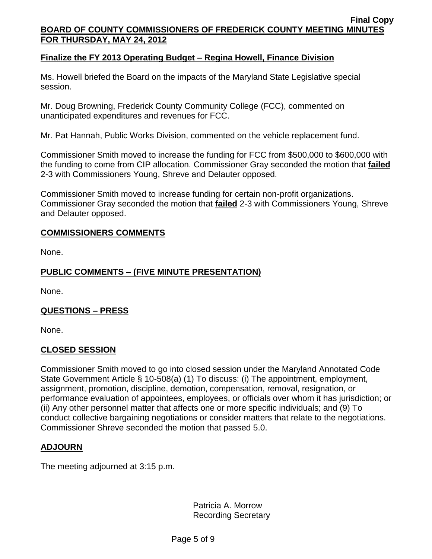## **Finalize the FY 2013 Operating Budget – Regina Howell, Finance Division**

Ms. Howell briefed the Board on the impacts of the Maryland State Legislative special session.

Mr. Doug Browning, Frederick County Community College (FCC), commented on unanticipated expenditures and revenues for FCC.

Mr. Pat Hannah, Public Works Division, commented on the vehicle replacement fund.

Commissioner Smith moved to increase the funding for FCC from \$500,000 to \$600,000 with the funding to come from CIP allocation. Commissioner Gray seconded the motion that **failed** 2-3 with Commissioners Young, Shreve and Delauter opposed.

Commissioner Smith moved to increase funding for certain non-profit organizations. Commissioner Gray seconded the motion that **failed** 2-3 with Commissioners Young, Shreve and Delauter opposed.

## **COMMISSIONERS COMMENTS**

None.

# **PUBLIC COMMENTS – (FIVE MINUTE PRESENTATION)**

None.

## **QUESTIONS – PRESS**

None.

### **CLOSED SESSION**

Commissioner Smith moved to go into closed session under the Maryland Annotated Code State Government Article § 10-508(a) (1) To discuss: (i) The appointment, employment, assignment, promotion, discipline, demotion, compensation, removal, resignation, or performance evaluation of appointees, employees, or officials over whom it has jurisdiction; or (ii) Any other personnel matter that affects one or more specific individuals; and (9) To conduct collective bargaining negotiations or consider matters that relate to the negotiations. Commissioner Shreve seconded the motion that passed 5.0.

## **ADJOURN**

The meeting adjourned at 3:15 p.m.

Patricia A. Morrow Recording Secretary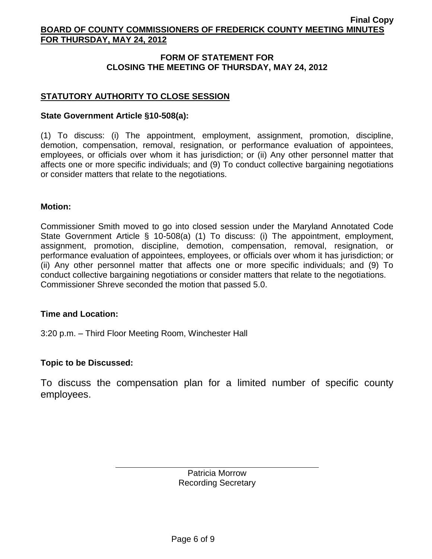## **FORM OF STATEMENT FOR CLOSING THE MEETING OF THURSDAY, MAY 24, 2012**

# **STATUTORY AUTHORITY TO CLOSE SESSION**

## **State Government Article §10-508(a):**

(1) To discuss: (i) The appointment, employment, assignment, promotion, discipline, demotion, compensation, removal, resignation, or performance evaluation of appointees, employees, or officials over whom it has jurisdiction; or (ii) Any other personnel matter that affects one or more specific individuals; and (9) To conduct collective bargaining negotiations or consider matters that relate to the negotiations.

### **Motion:**

Commissioner Smith moved to go into closed session under the Maryland Annotated Code State Government Article § 10-508(a) (1) To discuss: (i) The appointment, employment, assignment, promotion, discipline, demotion, compensation, removal, resignation, or performance evaluation of appointees, employees, or officials over whom it has jurisdiction; or (ii) Any other personnel matter that affects one or more specific individuals; and (9) To conduct collective bargaining negotiations or consider matters that relate to the negotiations. Commissioner Shreve seconded the motion that passed 5.0.

### **Time and Location:**

3:20 p.m. – Third Floor Meeting Room, Winchester Hall

## **Topic to be Discussed:**

To discuss the compensation plan for a limited number of specific county employees.

> Patricia Morrow Recording Secretary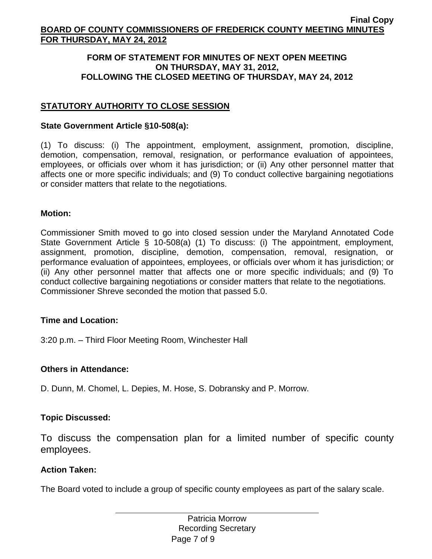## **FORM OF STATEMENT FOR MINUTES OF NEXT OPEN MEETING ON THURSDAY, MAY 31, 2012, FOLLOWING THE CLOSED MEETING OF THURSDAY, MAY 24, 2012**

# **STATUTORY AUTHORITY TO CLOSE SESSION**

## **State Government Article §10-508(a):**

(1) To discuss: (i) The appointment, employment, assignment, promotion, discipline, demotion, compensation, removal, resignation, or performance evaluation of appointees, employees, or officials over whom it has jurisdiction; or (ii) Any other personnel matter that affects one or more specific individuals; and (9) To conduct collective bargaining negotiations or consider matters that relate to the negotiations.

## **Motion:**

Commissioner Smith moved to go into closed session under the Maryland Annotated Code State Government Article § 10-508(a) (1) To discuss: (i) The appointment, employment, assignment, promotion, discipline, demotion, compensation, removal, resignation, or performance evaluation of appointees, employees, or officials over whom it has jurisdiction; or (ii) Any other personnel matter that affects one or more specific individuals; and (9) To conduct collective bargaining negotiations or consider matters that relate to the negotiations. Commissioner Shreve seconded the motion that passed 5.0.

## **Time and Location:**

3:20 p.m. – Third Floor Meeting Room, Winchester Hall

## **Others in Attendance:**

D. Dunn, M. Chomel, L. Depies, M. Hose, S. Dobransky and P. Morrow.

## **Topic Discussed:**

To discuss the compensation plan for a limited number of specific county employees.

## **Action Taken:**

The Board voted to include a group of specific county employees as part of the salary scale.

Page 7 of 9 Patricia Morrow Recording Secretary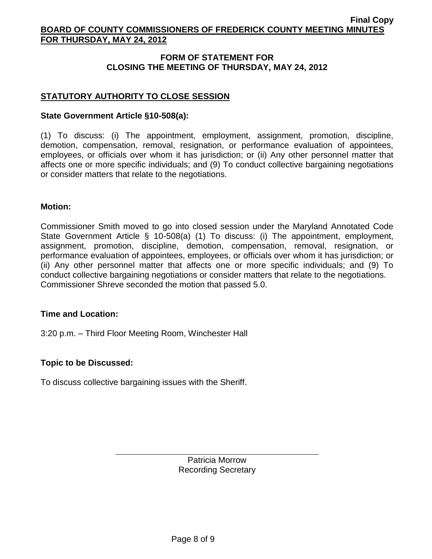## **FORM OF STATEMENT FOR CLOSING THE MEETING OF THURSDAY, MAY 24, 2012**

# **STATUTORY AUTHORITY TO CLOSE SESSION**

## **State Government Article §10-508(a):**

(1) To discuss: (i) The appointment, employment, assignment, promotion, discipline, demotion, compensation, removal, resignation, or performance evaluation of appointees, employees, or officials over whom it has jurisdiction; or (ii) Any other personnel matter that affects one or more specific individuals; and (9) To conduct collective bargaining negotiations or consider matters that relate to the negotiations.

### **Motion:**

Commissioner Smith moved to go into closed session under the Maryland Annotated Code State Government Article § 10-508(a) (1) To discuss: (i) The appointment, employment, assignment, promotion, discipline, demotion, compensation, removal, resignation, or performance evaluation of appointees, employees, or officials over whom it has jurisdiction; or (ii) Any other personnel matter that affects one or more specific individuals; and (9) To conduct collective bargaining negotiations or consider matters that relate to the negotiations. Commissioner Shreve seconded the motion that passed 5.0.

### **Time and Location:**

3:20 p.m. – Third Floor Meeting Room, Winchester Hall

## **Topic to be Discussed:**

To discuss collective bargaining issues with the Sheriff.

Patricia Morrow Recording Secretary